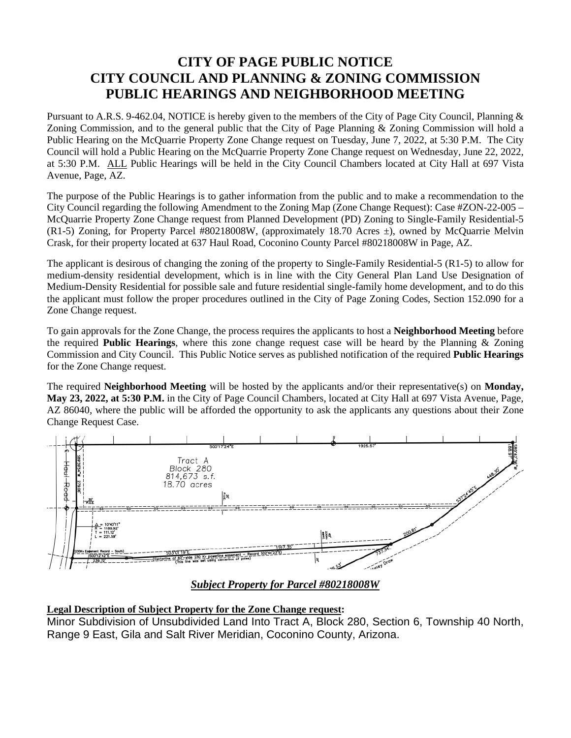## **CITY OF PAGE PUBLIC NOTICE CITY COUNCIL AND PLANNING & ZONING COMMISSION PUBLIC HEARINGS AND NEIGHBORHOOD MEETING**

Pursuant to A.R.S. 9-462.04, NOTICE is hereby given to the members of the City of Page City Council, Planning & Zoning Commission, and to the general public that the City of Page Planning & Zoning Commission will hold a Public Hearing on the McQuarrie Property Zone Change request on Tuesday, June 7, 2022, at 5:30 P.M. The City Council will hold a Public Hearing on the McQuarrie Property Zone Change request on Wednesday, June 22, 2022, at 5:30 P.M. ALL Public Hearings will be held in the City Council Chambers located at City Hall at 697 Vista Avenue, Page, AZ.

The purpose of the Public Hearings is to gather information from the public and to make a recommendation to the City Council regarding the following Amendment to the Zoning Map (Zone Change Request): Case #ZON-22-005 – McQuarrie Property Zone Change request from Planned Development (PD) Zoning to Single-Family Residential-5 (R1-5) Zoning, for Property Parcel #80218008W, (approximately 18.70 Acres ±), owned by McQuarrie Melvin Crask, for their property located at 637 Haul Road, Coconino County Parcel #80218008W in Page, AZ.

The applicant is desirous of changing the zoning of the property to Single-Family Residential-5 (R1-5) to allow for medium-density residential development, which is in line with the City General Plan Land Use Designation of Medium-Density Residential for possible sale and future residential single-family home development, and to do this the applicant must follow the proper procedures outlined in the City of Page Zoning Codes, Section 152.090 for a Zone Change request.

To gain approvals for the Zone Change, the process requires the applicants to host a **Neighborhood Meeting** before the required **Public Hearings**, where this zone change request case will be heard by the Planning & Zoning Commission and City Council. This Public Notice serves as published notification of the required **Public Hearings** for the Zone Change request.

The required **Neighborhood Meeting** will be hosted by the applicants and/or their representative(s) on **Monday, May 23, 2022, at 5:30 P.M.** in the City of Page Council Chambers, located at City Hall at 697 Vista Avenue, Page, AZ 86040, where the public will be afforded the opportunity to ask the applicants any questions about their Zone Change Request Case.



*Subject Property for Parcel #80218008W*

## **Legal Description of Subject Property for the Zone Change request:**

Minor Subdivision of Unsubdivided Land Into Tract A, Block 280, Section 6, Township 40 North, Range 9 East, Gila and Salt River Meridian, Coconino County, Arizona.